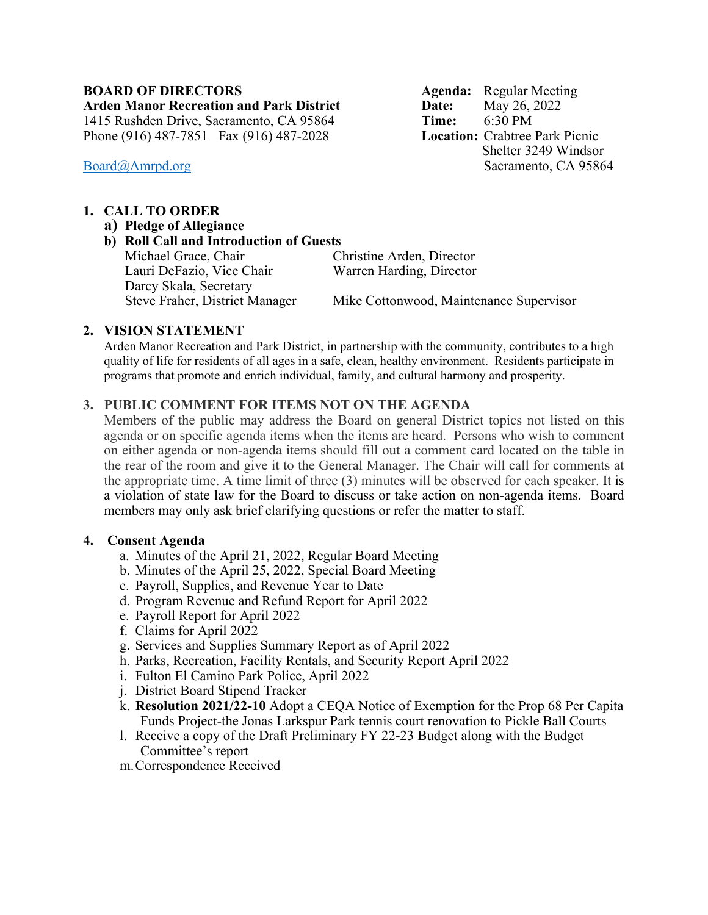#### **BOARD OF DIRECTORS Agenda:** Regular Meeting **Arden Manor Recreation and Park District Date:** May 26, 2022

1415 Rushden Drive, Sacramento, CA 95864 **Time:** 6:30 PM Phone (916) 487-7851 Fax (916) 487-2028

# **1. CALL TO ORDER**

- **a) Pledge of Allegiance**
- **b) Roll Call and Introduction of Guests** Michael Grace, Chair Christine Arden, Director Lauri DeFazio, Vice Chair Warren Harding, Director Darcy Skala, Secretary

Mike Cottonwood, Maintenance Supervisor

# **2. VISION STATEMENT**

Arden Manor Recreation and Park District, in partnership with the community, contributes to a high quality of life for residents of all ages in a safe, clean, healthy environment. Residents participate in programs that promote and enrich individual, family, and cultural harmony and prosperity.

# **3. PUBLIC COMMENT FOR ITEMS NOT ON THE AGENDA**

Members of the public may address the Board on general District topics not listed on this agenda or on specific agenda items when the items are heard. Persons who wish to comment on either agenda or non-agenda items should fill out a comment card located on the table in the rear of the room and give it to the General Manager. The Chair will call for comments at the appropriate time. A time limit of three (3) minutes will be observed for each speaker. It is a violation of state law for the Board to discuss or take action on non-agenda items. Board members may only ask brief clarifying questions or refer the matter to staff.

# **4. Consent Agenda**

- a. Minutes of the April 21, 2022, Regular Board Meeting
- b. Minutes of the April 25, 2022, Special Board Meeting
- c. Payroll, Supplies, and Revenue Year to Date
- d. Program Revenue and Refund Report for April 2022
- e. Payroll Report for April 2022
- f. Claims for April 2022
- g. Services and Supplies Summary Report as of April 2022
- h. Parks, Recreation, Facility Rentals, and Security Report April 2022
- i. Fulton El Camino Park Police, April 2022
- j. District Board Stipend Tracker
- k. **Resolution 2021/22-10** Adopt a CEQA Notice of Exemption for the Prop 68 Per Capita Funds Project-the Jonas Larkspur Park tennis court renovation to Pickle Ball Courts
- l. Receive a copy of the Draft Preliminary FY 22-23 Budget along with the Budget Committee's report
- m.Correspondence Received

 Shelter 3249 Windsor [Board@Amrpd.org](mailto:Board@Amrpd.org) Sacramento, CA 95864